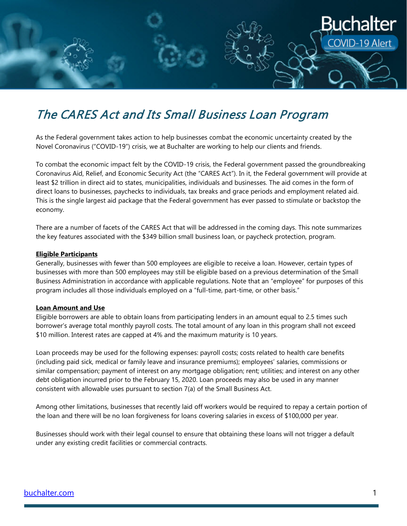

# The CARES Act and Its Small Business Loan Program

As the Federal government takes action to help businesses combat the economic uncertainty created by the Novel Coronavirus ("COVID-19") crisis, we at Buchalter are working to help our clients and friends.

To combat the economic impact felt by the COVID-19 crisis, the Federal government passed the groundbreaking Coronavirus Aid, Relief, and Economic Security Act (the "CARES Act"). In it, the Federal government will provide at least \$2 trillion in direct aid to states, municipalities, individuals and businesses. The aid comes in the form of direct loans to businesses, paychecks to individuals, tax breaks and grace periods and employment related aid. This is the single largest aid package that the Federal government has ever passed to stimulate or backstop the economy.

There are a number of facets of the CARES Act that will be addressed in the coming days. This note summarizes the key features associated with the \$349 billion small business loan, or paycheck protection, program.

#### **Eligible Participants**

Generally, businesses with fewer than 500 employees are eligible to receive a loan. However, certain types of businesses with more than 500 employees may still be eligible based on a previous determination of the Small Business Administration in accordance with applicable regulations. Note that an "employee" for purposes of this program includes all those individuals employed on a "full-time, part-time, or other basis."

### **Loan Amount and Use**

Eligible borrowers are able to obtain loans from participating lenders in an amount equal to 2.5 times such borrower's average total monthly payroll costs. The total amount of any loan in this program shall not exceed \$10 million. Interest rates are capped at 4% and the maximum maturity is 10 years.

Loan proceeds may be used for the following expenses: payroll costs; costs related to health care benefits (including paid sick, medical or family leave and insurance premiums); employees' salaries, commissions or similar compensation; payment of interest on any mortgage obligation; rent; utilities; and interest on any other debt obligation incurred prior to the February 15, 2020. Loan proceeds may also be used in any manner consistent with allowable uses pursuant to section 7(a) of the Small Business Act.

Among other limitations, businesses that recently laid off workers would be required to repay a certain portion of the loan and there will be no loan forgiveness for loans covering salaries in excess of \$100,000 per year.

Businesses should work with their legal counsel to ensure that obtaining these loans will not trigger a default under any existing credit facilities or commercial contracts.